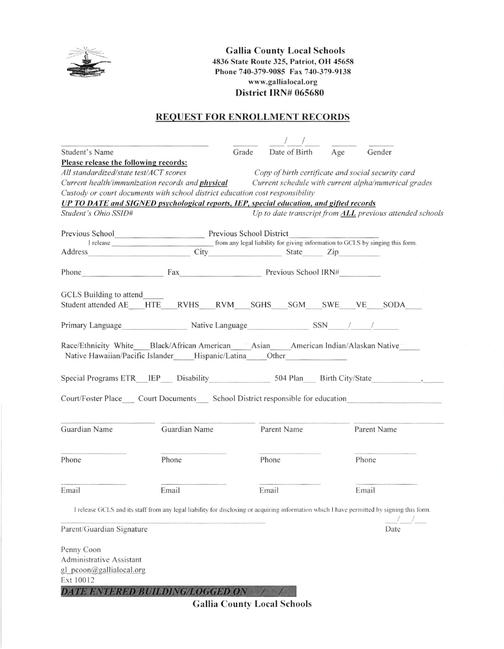

**Gallia County Local Schools** 4836 State Route 325, Patriot, OH 45658 Phone 740-379-9085 Fax 740-379-9138 www.gallialocal.org District IRN# 065680

#### **REQUEST FOR ENROLLMENT RECORDS**

| Student's Name                                                                                                                             |               | Grade                    | Date of Birth | Age | Gender                                                                                                                                     |
|--------------------------------------------------------------------------------------------------------------------------------------------|---------------|--------------------------|---------------|-----|--------------------------------------------------------------------------------------------------------------------------------------------|
| Please release the following records:                                                                                                      |               |                          |               |     |                                                                                                                                            |
| All standardized/state test/ACT scores                                                                                                     |               |                          |               |     | Copy of birth certificate and social security card                                                                                         |
| Current health/immunization records and <i>physical</i>                                                                                    |               |                          |               |     | Current schedule with current alpha/numerical grades                                                                                       |
| Custody or court documents with school district education cost responsibility                                                              |               |                          |               |     |                                                                                                                                            |
| UP TO DATE and SIGNED psychological reports, IEP, special education, and gifted records                                                    |               |                          |               |     |                                                                                                                                            |
| Student's Ohio SSID#                                                                                                                       |               |                          |               |     | Up to date transcript from ALL previous attended schools                                                                                   |
|                                                                                                                                            |               |                          |               |     |                                                                                                                                            |
|                                                                                                                                            |               |                          |               |     |                                                                                                                                            |
| Address                                                                                                                                    |               | City City State Zip      |               |     |                                                                                                                                            |
| Phone                                                                                                                                      |               | Fax Previous School IRN# |               |     |                                                                                                                                            |
|                                                                                                                                            |               |                          |               |     |                                                                                                                                            |
| GCLS Building to attend                                                                                                                    |               |                          |               |     |                                                                                                                                            |
| Student attended AE HTE RVHS RVM SGHS SGM SWE VE SODA                                                                                      |               |                          |               |     |                                                                                                                                            |
| Primary Language Native Language SSN / /                                                                                                   |               |                          |               |     |                                                                                                                                            |
| Race/Ethnicity White Black/African American Asian American Indian/Alaskan Native<br>Native Hawaiian/Pacific Islander Hispanic/Latina Other |               |                          |               |     |                                                                                                                                            |
| Special Programs ETR_IEP___ Disability 504 Plan Birth City/State                                                                           |               |                          |               |     |                                                                                                                                            |
| Court/Foster Place Court Documents School District responsible for education                                                               |               |                          |               |     |                                                                                                                                            |
| Guardian Name                                                                                                                              | Guardian Name |                          | Parent Name   |     | Parent Name                                                                                                                                |
| Phone                                                                                                                                      | Phone         |                          | Phone         |     | Phone                                                                                                                                      |
| Email                                                                                                                                      | Email         |                          | Email         |     | Email                                                                                                                                      |
|                                                                                                                                            |               |                          |               |     | I release GCLS and its staff from any legal liability for disclosing or acquiring information which I have permitted by signing this form. |
| Parent/Guardian Signature                                                                                                                  |               |                          |               |     | Date                                                                                                                                       |
|                                                                                                                                            |               |                          |               |     |                                                                                                                                            |
| Penny Coon<br>Administrative Assistant                                                                                                     |               |                          |               |     |                                                                                                                                            |
|                                                                                                                                            |               |                          |               |     |                                                                                                                                            |
| gl pcoon@gallialocal.org<br>Ext 10012                                                                                                      |               |                          |               |     |                                                                                                                                            |
| DATE ENTERED BUILDING/LOGGED ON / /                                                                                                        |               |                          |               |     |                                                                                                                                            |

**Gallia County Local Schools**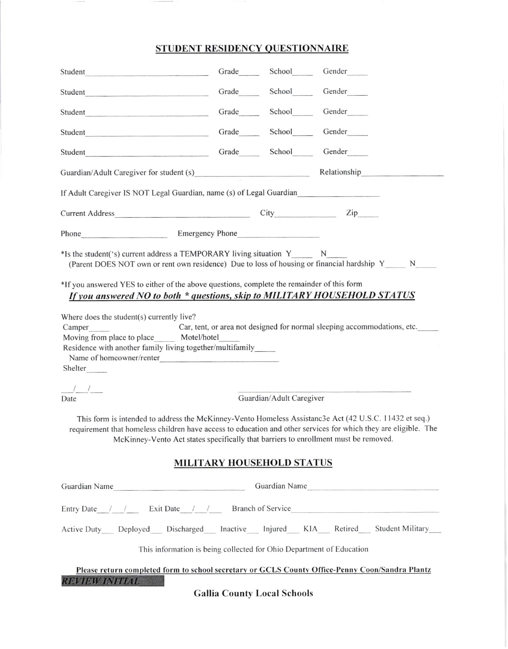# STUDENT RESIDENCY QUESTIONNAIRE

| Student                                                                                                                                                                                                                                                                                                                                                                                                                                                                                                                                               |  | Grade School Gender                |                                                                          |  |  |
|-------------------------------------------------------------------------------------------------------------------------------------------------------------------------------------------------------------------------------------------------------------------------------------------------------------------------------------------------------------------------------------------------------------------------------------------------------------------------------------------------------------------------------------------------------|--|------------------------------------|--------------------------------------------------------------------------|--|--|
| Student                                                                                                                                                                                                                                                                                                                                                                                                                                                                                                                                               |  | Grade School Gender                |                                                                          |  |  |
| Student                                                                                                                                                                                                                                                                                                                                                                                                                                                                                                                                               |  |                                    | Grade School Gender                                                      |  |  |
| Student                                                                                                                                                                                                                                                                                                                                                                                                                                                                                                                                               |  |                                    | Grade School Gender                                                      |  |  |
| Student                                                                                                                                                                                                                                                                                                                                                                                                                                                                                                                                               |  |                                    | Grade School Gender                                                      |  |  |
|                                                                                                                                                                                                                                                                                                                                                                                                                                                                                                                                                       |  |                                    |                                                                          |  |  |
| If Adult Caregiver IS NOT Legal Guardian, name (s) of Legal Guardian                                                                                                                                                                                                                                                                                                                                                                                                                                                                                  |  |                                    |                                                                          |  |  |
|                                                                                                                                                                                                                                                                                                                                                                                                                                                                                                                                                       |  |                                    |                                                                          |  |  |
| Phone Emergency Phone                                                                                                                                                                                                                                                                                                                                                                                                                                                                                                                                 |  |                                    |                                                                          |  |  |
| *Is the student('s) current address a TEMPORARY living situation Y N<br>(Parent DOES NOT own or rent own residence) Due to loss of housing or financial hardship Y N                                                                                                                                                                                                                                                                                                                                                                                  |  |                                    |                                                                          |  |  |
| *If you answered YES to either of the above questions, complete the remainder of this form<br>If you answered NO to both * questions, skip to MILITARY HOUSEHOLD STATUS                                                                                                                                                                                                                                                                                                                                                                               |  |                                    |                                                                          |  |  |
| Camper<br>Moving from place to place Motel/hotel<br>Residence with another family living together/multifamily<br>Name of homeowner/renter<br>Shelter                                                                                                                                                                                                                                                                                                                                                                                                  |  |                                    | Car, tent, or area not designed for normal sleeping accommodations, etc. |  |  |
| $\frac{\textcolor{blue}{\sqrt{2}}\textcolor{blue}{\sqrt{2}}\textcolor{blue}{\sqrt{2}}\textcolor{blue}{\sqrt{2}}\textcolor{blue}{\sqrt{2}}\textcolor{blue}{\sqrt{2}}\textcolor{blue}{\sqrt{2}}\textcolor{blue}{\sqrt{2}}\textcolor{blue}{\sqrt{2}}\textcolor{blue}{\sqrt{2}}\textcolor{blue}{\sqrt{2}}\textcolor{blue}{\sqrt{2}}\textcolor{blue}{\sqrt{2}}\textcolor{blue}{\sqrt{2}}\textcolor{blue}{\sqrt{2}}\textcolor{blue}{\sqrt{2}}\textcolor{blue}{\sqrt{2}}\textcolor{blue}{\sqrt{2}}\textcolor{blue}{\sqrt{2}}\textcolor{blue}{\sqrt{$<br>Date |  | Guardian/Adult Caregiver           |                                                                          |  |  |
| This form is intended to address the McKinney-Vento Homeless Assistanc3e Act (42 U.S.C. 11432 et seq.)<br>requirement that homeless children have access to education and other services for which they are eligible. The<br>McKinney-Vento Act states specifically that barriers to enrollment must be removed.                                                                                                                                                                                                                                      |  |                                    |                                                                          |  |  |
| MILITARY HOUSEHOLD STATUS                                                                                                                                                                                                                                                                                                                                                                                                                                                                                                                             |  |                                    |                                                                          |  |  |
| Guardian Name                                                                                                                                                                                                                                                                                                                                                                                                                                                                                                                                         |  |                                    | Guardian Name                                                            |  |  |
| Entry Date / / Exit Date / / Branch of Service                                                                                                                                                                                                                                                                                                                                                                                                                                                                                                        |  |                                    |                                                                          |  |  |
| Active Duty Deployed Discharged Inactive Injured KIA Retired Student Military                                                                                                                                                                                                                                                                                                                                                                                                                                                                         |  |                                    |                                                                          |  |  |
| This information is being collected for Ohio Department of Education                                                                                                                                                                                                                                                                                                                                                                                                                                                                                  |  |                                    |                                                                          |  |  |
| Please return completed form to school secretary or GCLS County Office-Penny Coon/Sandra Plantz                                                                                                                                                                                                                                                                                                                                                                                                                                                       |  |                                    |                                                                          |  |  |
| <b>REVIEW INITIAL</b>                                                                                                                                                                                                                                                                                                                                                                                                                                                                                                                                 |  | <b>Gallia County Local Schools</b> |                                                                          |  |  |

Gaina County Local Schools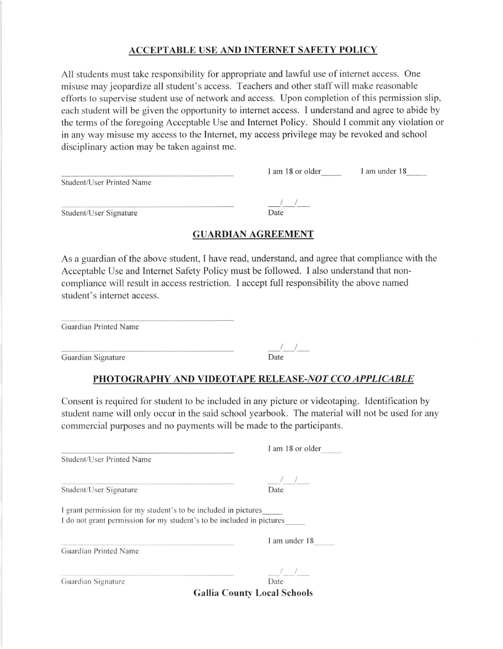#### ACCEPTABLE USE AND INTERNET SAFETY POLICY

All students must take responsibility for appropriate and lawful use of internet access. One misuse may jeopardize all student's access. Teachers and other staff will make reasonable efforts to supervise student use of network and access. Upon completion of this permission slip, each student will be given the opportunity to internet access. I understand and agree to abide by the temrs of the foregoing Acceptable Use and Intemet Policy. Should I commit any violation or in any way misuse my access to the Internet, my access privilege may be revoked and school disciplinary action may be taken against me.

|                           | I am 18 or older | I am under 18 |
|---------------------------|------------------|---------------|
| Student/User Printed Name |                  |               |
|                           |                  |               |
| Student/User Signature    | Date             |               |

# **GUARDIAN AGREEMENT**

As a guardian of the above student, I have read, understand, and agree that compliance with the Acceptable Use and lnternet Safety Policy must be followed. I also understand that noncompliance wilI result in access restriction. I accept full responsibility the above named student's internet access.

| Guardian Printed Name |      |
|-----------------------|------|
|                       |      |
| Guardian Signature    | Date |

# PHOTOGRAPHY AND VIDEOTAPE RELEASE-NOT CCO APPLICABLE

Consent is required for student to be included in any picture or videotaping. Identification by student name will only occur in the said school yearbook. The material will not be used for any commercial purposes and no payments will be made to the participants.

|                                                                                                                                         | I am 18 or older                   |
|-----------------------------------------------------------------------------------------------------------------------------------------|------------------------------------|
| Student/User Printed Name                                                                                                               |                                    |
|                                                                                                                                         |                                    |
| Student/User Signature                                                                                                                  | Date                               |
| I grant permission for my student's to be included in pictures<br>I do not grant permission for my student's to be included in pictures |                                    |
|                                                                                                                                         | I am under 18                      |
| Guardian Printed Name                                                                                                                   |                                    |
|                                                                                                                                         | $\frac{1}{1}$                      |
| Guardian Signature                                                                                                                      | Date                               |
|                                                                                                                                         | <b>Gallia County Local Schools</b> |